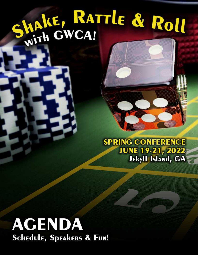## SHAKE, RATTLE & ROLL

**SPRING CONFERENCE JUNE 19-21, 2022 Jekyll Island, GA** 

## **AGENDA Schedule, Speakers & Fun!**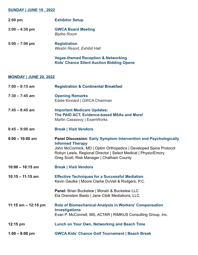## **SUNDAY | JUNE 19 , 2022**

| $2:00$ pm        | <b>Exhibitor Setup</b>                                    |
|------------------|-----------------------------------------------------------|
| $3:00 - 4:30$ pm | <b>GWCA Board Meeting</b><br><b>Blythe Room</b>           |
| $5:00 - 7:00$ pm | <b>Registration</b><br><b>Westin Resort, Exhibit Hall</b> |
|                  | Vegas-themed Peception & Networki                         |

**Vegas-themed Reception & Networking Kids' Chance Silent Auction Bidding Opens**

## **MONDAY | JUNE 20, 2022**

| $7:00 - 8:15$ am      | <b>Registration &amp; Continental Breakfast</b>                                                                                                                                                                                                                                        |
|-----------------------|----------------------------------------------------------------------------------------------------------------------------------------------------------------------------------------------------------------------------------------------------------------------------------------|
| $7:30 - 7:45$ am      | <b>Opening Remarks</b><br>Eddie Kinnard   GWCA Chairman                                                                                                                                                                                                                                |
| $7:45 - 8:45$ am      | <b>Important Medicare Updates:</b><br>The PAID ACT, Evidence-based MSAs and More!<br>Martin Cassavoy   ExamWorks                                                                                                                                                                       |
| $8:45 - 9:00$ am      | <b>Break   Visit Vendors</b>                                                                                                                                                                                                                                                           |
| $9:00 - 10:00$ am     | <b>Panel Discussion: Early Symptom Intervention and Psychologically</b><br><b>Informed Therapy</b><br>John McCormick, MD   Optim Orthopedics   Developed Spine Protocol<br>Robyn Lewis, Regional Director   Select Medical   Physio/Emory<br>Greg Scott, Risk Manager   Chatham County |
| $10:00 - 10:15$ am    | <b>Break   Visit Vendors</b>                                                                                                                                                                                                                                                           |
| $10:15 - 11:15$ am    | <b>Effective Techniques for a Successful Mediation</b><br>Kevin Gaulke   Moore Clarke DuVall & Rodgers, P.C.                                                                                                                                                                           |
|                       | Panel: Brian Buckelew   Morain & Buckelew LLC<br>Ela Orenstein Basto   Jane Cibik Mediations, LLC                                                                                                                                                                                      |
| 11:15 am $-$ 12:15 pm | <b>Role of Biomechanical Analysis in Workers' Compensation</b><br><b>Investigations</b><br>Evan P. McConnell, MS, ACTAR   RIMKUS Consulting Group, Inc.                                                                                                                                |
| 12:15 pm              | <b>Lunch on Your Own, Networking and Beach Time</b>                                                                                                                                                                                                                                    |
| $1:00 - 8:00$ pm      | <b>GWCA Kids' Chance Golf Tournament   Beach Break</b>                                                                                                                                                                                                                                 |